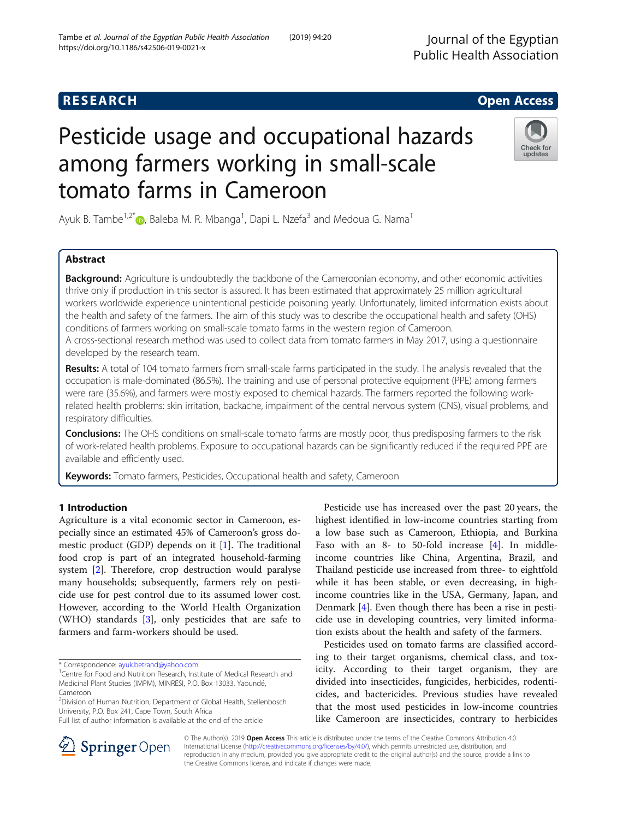# **RESEARCH CHE Open Access**

# Pesticide usage and occupational hazards among farmers working in small-scale tomato farms in Cameroon

Ayuk B. Tambe<sup>1[,](http://orcid.org/0000-0002-5023-4273)2\*</sup>®, Baleba M. R. Mbanga<sup>1</sup>, Dapi L. Nzefa<sup>3</sup> and Medoua G. Nama<sup>1</sup>

# Abstract

Background: Agriculture is undoubtedly the backbone of the Cameroonian economy, and other economic activities thrive only if production in this sector is assured. It has been estimated that approximately 25 million agricultural workers worldwide experience unintentional pesticide poisoning yearly. Unfortunately, limited information exists about the health and safety of the farmers. The aim of this study was to describe the occupational health and safety (OHS) conditions of farmers working on small-scale tomato farms in the western region of Cameroon.

A cross-sectional research method was used to collect data from tomato farmers in May 2017, using a questionnaire developed by the research team.

Results: A total of 104 tomato farmers from small-scale farms participated in the study. The analysis revealed that the occupation is male-dominated (86.5%). The training and use of personal protective equipment (PPE) among farmers were rare (35.6%), and farmers were mostly exposed to chemical hazards. The farmers reported the following workrelated health problems: skin irritation, backache, impairment of the central nervous system (CNS), visual problems, and respiratory difficulties.

**Conclusions:** The OHS conditions on small-scale tomato farms are mostly poor, thus predisposing farmers to the risk of work-related health problems. Exposure to occupational hazards can be significantly reduced if the required PPE are available and efficiently used.

Keywords: Tomato farmers, Pesticides, Occupational health and safety, Cameroon

# 1 Introduction

Agriculture is a vital economic sector in Cameroon, especially since an estimated 45% of Cameroon's gross domestic product (GDP) depends on it  $[1]$  $[1]$ . The traditional food crop is part of an integrated household-farming system [\[2](#page-6-0)]. Therefore, crop destruction would paralyse many households; subsequently, farmers rely on pesticide use for pest control due to its assumed lower cost. However, according to the World Health Organization (WHO) standards [[3](#page-6-0)], only pesticides that are safe to farmers and farm-workers should be used.

<sup>2</sup> Division of Human Nutrition, Department of Global Health, Stellenbosch University, P.O. Box 241, Cape Town, South Africa

Full list of author information is available at the end of the article

Faso with an 8- to 50-fold increase [[4\]](#page-6-0). In middleincome countries like China, Argentina, Brazil, and Thailand pesticide use increased from three- to eightfold while it has been stable, or even decreasing, in highincome countries like in the USA, Germany, Japan, and Denmark [\[4\]](#page-6-0). Even though there has been a rise in pesticide use in developing countries, very limited information exists about the health and safety of the farmers. Pesticides used on tomato farms are classified accord-

Pesticide use has increased over the past 20 years, the highest identified in low-income countries starting from a low base such as Cameroon, Ethiopia, and Burkina

ing to their target organisms, chemical class, and toxicity. According to their target organism, they are divided into insecticides, fungicides, herbicides, rodenticides, and bactericides. Previous studies have revealed that the most used pesticides in low-income countries like Cameroon are insecticides, contrary to herbicides







<sup>\*</sup> Correspondence: [ayuk.betrand@yahoo.com](mailto:ayuk.betrand@yahoo.com) <sup>1</sup>

<sup>&</sup>lt;sup>1</sup> Centre for Food and Nutrition Research, Institute of Medical Research and Medicinal Plant Studies (IMPM), MINRESI, P.O. Box 13033, Yaoundé, Cameroon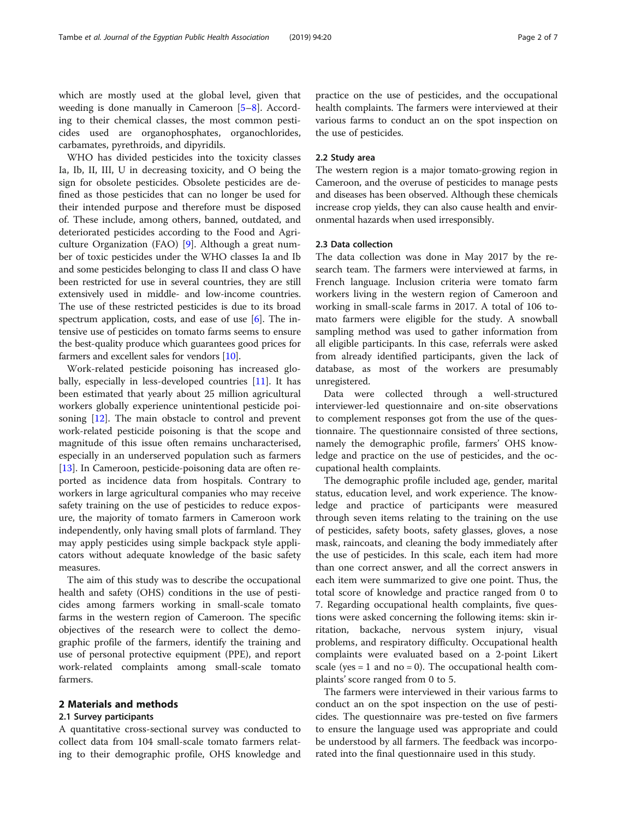which are mostly used at the global level, given that weeding is done manually in Cameroon [\[5](#page-6-0)–[8\]](#page-6-0). According to their chemical classes, the most common pesticides used are organophosphates, organochlorides, carbamates, pyrethroids, and dipyridils.

WHO has divided pesticides into the toxicity classes Ia, Ib, II, III, U in decreasing toxicity, and O being the sign for obsolete pesticides. Obsolete pesticides are defined as those pesticides that can no longer be used for their intended purpose and therefore must be disposed of. These include, among others, banned, outdated, and deteriorated pesticides according to the Food and Agriculture Organization (FAO) [\[9](#page-6-0)]. Although a great number of toxic pesticides under the WHO classes Ia and Ib and some pesticides belonging to class II and class O have been restricted for use in several countries, they are still extensively used in middle- and low-income countries. The use of these restricted pesticides is due to its broad spectrum application, costs, and ease of use [\[6](#page-6-0)]. The intensive use of pesticides on tomato farms seems to ensure the best-quality produce which guarantees good prices for farmers and excellent sales for vendors [[10](#page-6-0)].

Work-related pesticide poisoning has increased globally, especially in less-developed countries [[11](#page-6-0)]. It has been estimated that yearly about 25 million agricultural workers globally experience unintentional pesticide poisoning [\[12](#page-6-0)]. The main obstacle to control and prevent work-related pesticide poisoning is that the scope and magnitude of this issue often remains uncharacterised, especially in an underserved population such as farmers [[13\]](#page-6-0). In Cameroon, pesticide-poisoning data are often reported as incidence data from hospitals. Contrary to workers in large agricultural companies who may receive safety training on the use of pesticides to reduce exposure, the majority of tomato farmers in Cameroon work independently, only having small plots of farmland. They may apply pesticides using simple backpack style applicators without adequate knowledge of the basic safety measures.

The aim of this study was to describe the occupational health and safety (OHS) conditions in the use of pesticides among farmers working in small-scale tomato farms in the western region of Cameroon. The specific objectives of the research were to collect the demographic profile of the farmers, identify the training and use of personal protective equipment (PPE), and report work-related complaints among small-scale tomato farmers.

#### 2 Materials and methods

#### 2.1 Survey participants

A quantitative cross-sectional survey was conducted to collect data from 104 small-scale tomato farmers relating to their demographic profile, OHS knowledge and

practice on the use of pesticides, and the occupational health complaints. The farmers were interviewed at their various farms to conduct an on the spot inspection on the use of pesticides.

#### 2.2 Study area

The western region is a major tomato-growing region in Cameroon, and the overuse of pesticides to manage pests and diseases has been observed. Although these chemicals increase crop yields, they can also cause health and environmental hazards when used irresponsibly.

#### 2.3 Data collection

The data collection was done in May 2017 by the research team. The farmers were interviewed at farms, in French language. Inclusion criteria were tomato farm workers living in the western region of Cameroon and working in small-scale farms in 2017. A total of 106 tomato farmers were eligible for the study. A snowball sampling method was used to gather information from all eligible participants. In this case, referrals were asked from already identified participants, given the lack of database, as most of the workers are presumably unregistered.

Data were collected through a well-structured interviewer-led questionnaire and on-site observations to complement responses got from the use of the questionnaire. The questionnaire consisted of three sections, namely the demographic profile, farmers' OHS knowledge and practice on the use of pesticides, and the occupational health complaints.

The demographic profile included age, gender, marital status, education level, and work experience. The knowledge and practice of participants were measured through seven items relating to the training on the use of pesticides, safety boots, safety glasses, gloves, a nose mask, raincoats, and cleaning the body immediately after the use of pesticides. In this scale, each item had more than one correct answer, and all the correct answers in each item were summarized to give one point. Thus, the total score of knowledge and practice ranged from 0 to 7. Regarding occupational health complaints, five questions were asked concerning the following items: skin irritation, backache, nervous system injury, visual problems, and respiratory difficulty. Occupational health complaints were evaluated based on a 2-point Likert scale (yes  $= 1$  and no  $= 0$ ). The occupational health complaints' score ranged from 0 to 5.

The farmers were interviewed in their various farms to conduct an on the spot inspection on the use of pesticides. The questionnaire was pre-tested on five farmers to ensure the language used was appropriate and could be understood by all farmers. The feedback was incorporated into the final questionnaire used in this study.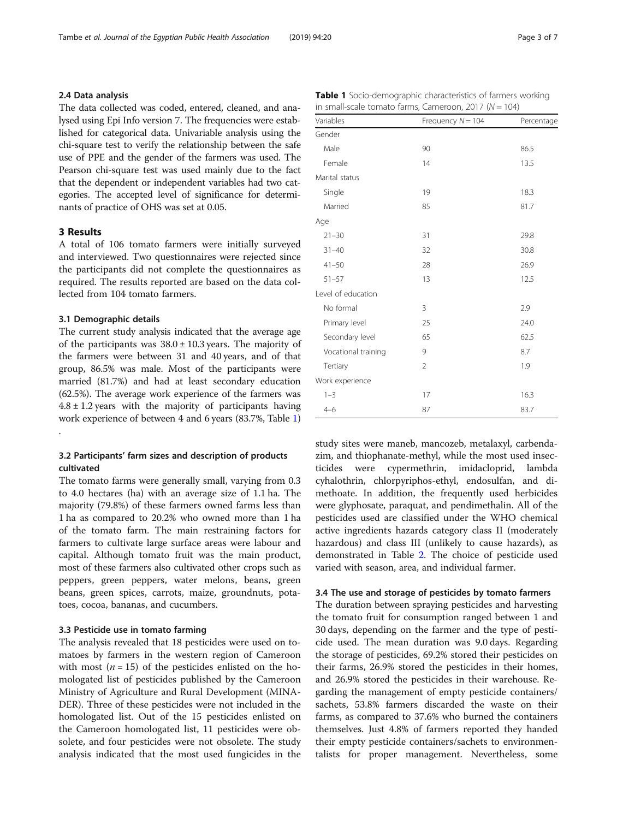# 2.4 Data analysis

The data collected was coded, entered, cleaned, and analysed using Epi Info version 7. The frequencies were established for categorical data. Univariable analysis using the chi-square test to verify the relationship between the safe use of PPE and the gender of the farmers was used. The Pearson chi-square test was used mainly due to the fact that the dependent or independent variables had two categories. The accepted level of significance for determinants of practice of OHS was set at 0.05.

# 3 Results

A total of 106 tomato farmers were initially surveyed and interviewed. Two questionnaires were rejected since the participants did not complete the questionnaires as required. The results reported are based on the data collected from 104 tomato farmers.

#### 3.1 Demographic details

The current study analysis indicated that the average age of the participants was  $38.0 \pm 10.3$  years. The majority of the farmers were between 31 and 40 years, and of that group, 86.5% was male. Most of the participants were married (81.7%) and had at least secondary education (62.5%). The average work experience of the farmers was  $4.8 \pm 1.2$  years with the majority of participants having work experience of between 4 and 6 years (83.7%, Table 1) .

# 3.2 Participants' farm sizes and description of products cultivated

The tomato farms were generally small, varying from 0.3 to 4.0 hectares (ha) with an average size of 1.1 ha. The majority (79.8%) of these farmers owned farms less than 1 ha as compared to 20.2% who owned more than 1 ha of the tomato farm. The main restraining factors for farmers to cultivate large surface areas were labour and capital. Although tomato fruit was the main product, most of these farmers also cultivated other crops such as peppers, green peppers, water melons, beans, green beans, green spices, carrots, maize, groundnuts, potatoes, cocoa, bananas, and cucumbers.

#### 3.3 Pesticide use in tomato farming

The analysis revealed that 18 pesticides were used on tomatoes by farmers in the western region of Cameroon with most ( $n = 15$ ) of the pesticides enlisted on the homologated list of pesticides published by the Cameroon Ministry of Agriculture and Rural Development (MINA-DER). Three of these pesticides were not included in the homologated list. Out of the 15 pesticides enlisted on the Cameroon homologated list, 11 pesticides were obsolete, and four pesticides were not obsolete. The study analysis indicated that the most used fungicides in the

|                     |                | 30.8 |
|---------------------|----------------|------|
| $41 - 50$           | 28             | 26.9 |
| $51 - 57$           | 13             | 12.5 |
| Level of education  |                |      |
| No formal           | 3              | 2.9  |
| Primary level       | 25             | 24.0 |
| Secondary level     | 65             | 62.5 |
| Vocational training | 9              | 8.7  |
| Tertiary            | $\mathfrak{D}$ | 1.9  |
| Work experience     |                |      |
| $1 - 3$             | 17             | 16.3 |
| $4 - 6$             | 87             | 83.7 |

zim, and thiophanate-methyl, while the most used insecticides were cypermethrin, imidacloprid, lambda cyhalothrin, chlorpyriphos-ethyl, endosulfan, and dimethoate. In addition, the frequently used herbicides were glyphosate, paraquat, and pendimethalin. All of the pesticides used are classified under the WHO chemical active ingredients hazards category class II (moderately hazardous) and class III (unlikely to cause hazards), as demonstrated in Table [2](#page-3-0). The choice of pesticide used varied with season, area, and individual farmer.

#### 3.4 The use and storage of pesticides by tomato farmers

The duration between spraying pesticides and harvesting the tomato fruit for consumption ranged between 1 and 30 days, depending on the farmer and the type of pesticide used. The mean duration was 9.0 days. Regarding the storage of pesticides, 69.2% stored their pesticides on their farms, 26.9% stored the pesticides in their homes, and 26.9% stored the pesticides in their warehouse. Regarding the management of empty pesticide containers/ sachets, 53.8% farmers discarded the waste on their farms, as compared to 37.6% who burned the containers themselves. Just 4.8% of farmers reported they handed their empty pesticide containers/sachets to environmentalists for proper management. Nevertheless, some

| <b>Table 1</b> Socio-demographic characteristics of farmers working |                     |            |
|---------------------------------------------------------------------|---------------------|------------|
| in small-scale tomato farms, Cameroon, 2017 ( $N = 104$ )           |                     |            |
| Variables                                                           | Frequency $N = 104$ | Percentage |

Male 86.5 Female 14 13.5

Single 19 18.3 Married 85 81.7

21–30 31 29.8

Gender

Age

Marital status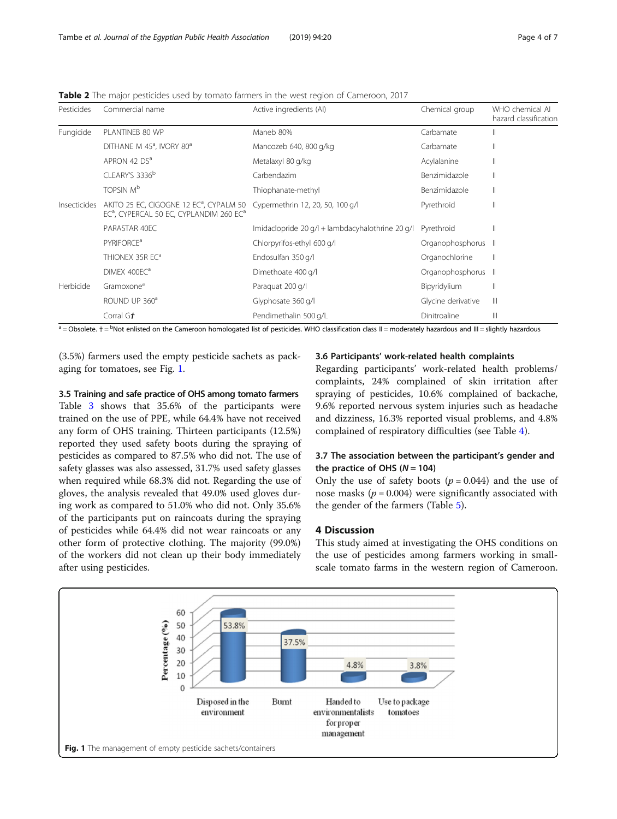| Pesticides   | Commercial name                                                                                                        | Active ingredients (AI)                          | Chemical group      | WHO chemical Al<br>hazard classification |
|--------------|------------------------------------------------------------------------------------------------------------------------|--------------------------------------------------|---------------------|------------------------------------------|
| Fungicide    | PLANTINEB 80 WP                                                                                                        | Maneb 80%                                        | Carbamate           | Ш                                        |
|              | DITHANE M 45 <sup>a</sup> , IVORY 80 <sup>a</sup>                                                                      | Mancozeb 640, 800 g/kg                           | Carbamate           | Ш                                        |
|              | APRON 42 DS <sup>a</sup>                                                                                               | Metalaxyl 80 g/kg                                | Acylalanine         | $\parallel$                              |
|              | CLEARY'S 3336 <sup>b</sup>                                                                                             | Carbendazim                                      | Benzimidazole       | $\parallel$                              |
|              | TOPSIN M <sup>b</sup>                                                                                                  | Thiophanate-methyl                               | Benzimidazole       | $\parallel$                              |
| Insecticides | AKITO 25 EC, CIGOGNE 12 EC <sup>a</sup> , CYPALM 50<br>EC <sup>a</sup> , CYPERCAL 50 EC, CYPLANDIM 260 EC <sup>a</sup> | Cypermethrin 12, 20, 50, 100 g/l                 | Pyrethroid          | $\parallel$                              |
|              | PARASTAR 40EC                                                                                                          | Imidaclopride 20 g/l + lambdacyhalothrine 20 g/l | Pyrethroid          | Ш                                        |
|              | <b>PYRIFORCE</b> <sup>a</sup>                                                                                          | Chlorpyrifos-ethyl 600 g/l                       | Organophosphorus    | Ш                                        |
|              | THIONEX 35R EC <sup>a</sup>                                                                                            | Endosulfan 350 g/l                               | Organochlorine      | Ш                                        |
|              | DIMEX 400EC <sup>a</sup>                                                                                               | Dimethoate 400 g/l                               | Organophosphorus    | Ш                                        |
| Herbicide    | Gramoxone <sup>a</sup>                                                                                                 | Paraquat 200 g/l                                 | <b>Bipyridylium</b> | $\parallel$                              |
|              | ROUND UP 360 <sup>a</sup>                                                                                              | Glyphosate 360 g/l                               | Glycine derivative  | $\mathbb{H}$                             |
|              | Corral Gt                                                                                                              | Pendimethalin 500 g/L                            | Dinitroaline        | Ш                                        |

<span id="page-3-0"></span>Table 2 The major pesticides used by tomato farmers in the west region of Cameroon, 2017

 $^{\sf a}$  = Obsolete. † =  $^{\sf b}$ Not enlisted on the Cameroon homologated list of pesticides. WHO classification class II = moderately hazardous and III = slightly hazardous

(3.5%) farmers used the empty pesticide sachets as packaging for tomatoes, see Fig. 1.

## 3.5 Training and safe practice of OHS among tomato farmers

Table [3](#page-4-0) shows that 35.6% of the participants were trained on the use of PPE, while 64.4% have not received any form of OHS training. Thirteen participants (12.5%) reported they used safety boots during the spraying of pesticides as compared to 87.5% who did not. The use of safety glasses was also assessed, 31.7% used safety glasses when required while 68.3% did not. Regarding the use of gloves, the analysis revealed that 49.0% used gloves during work as compared to 51.0% who did not. Only 35.6% of the participants put on raincoats during the spraying of pesticides while 64.4% did not wear raincoats or any other form of protective clothing. The majority (99.0%) of the workers did not clean up their body immediately after using pesticides.

#### 3.6 Participants' work-related health complaints

Regarding participants' work-related health problems/ complaints, 24% complained of skin irritation after spraying of pesticides, 10.6% complained of backache, 9.6% reported nervous system injuries such as headache and dizziness, 16.3% reported visual problems, and 4.8% complained of respiratory difficulties (see Table [4](#page-4-0)).

# 3.7 The association between the participant's gender and the practice of OHS  $(N = 104)$

Only the use of safety boots ( $p = 0.044$ ) and the use of nose masks ( $p = 0.004$ ) were significantly associated with the gender of the farmers (Table [5](#page-4-0)).

# 4 Discussion

This study aimed at investigating the OHS conditions on the use of pesticides among farmers working in smallscale tomato farms in the western region of Cameroon.

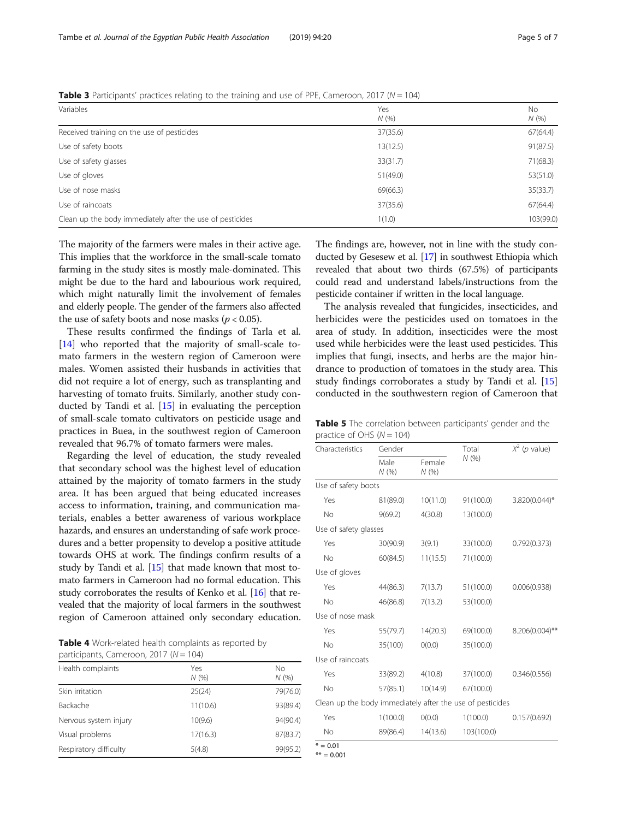<span id="page-4-0"></span>

| <b>Table 3</b> Participants' practices relating to the training and use of PPE, Cameroon, 2017 ( $N = 104$ ) |  |
|--------------------------------------------------------------------------------------------------------------|--|
|--------------------------------------------------------------------------------------------------------------|--|

| Variables                                                 | Yes      | No.       |
|-----------------------------------------------------------|----------|-----------|
|                                                           | N(%      | N(%       |
| Received training on the use of pesticides                | 37(35.6) | 67(64.4)  |
| Use of safety boots                                       | 13(12.5) | 91(87.5)  |
| Use of safety glasses                                     | 33(31.7) | 71(68.3)  |
| Use of gloves                                             | 51(49.0) | 53(51.0)  |
| Use of nose masks                                         | 69(66.3) | 35(33.7)  |
| Use of raincoats                                          | 37(35.6) | 67(64.4)  |
| Clean up the body immediately after the use of pesticides | 1(1.0)   | 103(99.0) |

The majority of the farmers were males in their active age. This implies that the workforce in the small-scale tomato farming in the study sites is mostly male-dominated. This might be due to the hard and labourious work required, which might naturally limit the involvement of females and elderly people. The gender of the farmers also affected the use of safety boots and nose masks ( $p < 0.05$ ).

These results confirmed the findings of Tarla et al. [[14\]](#page-6-0) who reported that the majority of small-scale tomato farmers in the western region of Cameroon were males. Women assisted their husbands in activities that did not require a lot of energy, such as transplanting and harvesting of tomato fruits. Similarly, another study conducted by Tandi et al. [\[15](#page-6-0)] in evaluating the perception of small-scale tomato cultivators on pesticide usage and practices in Buea, in the southwest region of Cameroon revealed that 96.7% of tomato farmers were males.

Regarding the level of education, the study revealed that secondary school was the highest level of education attained by the majority of tomato farmers in the study area. It has been argued that being educated increases access to information, training, and communication materials, enables a better awareness of various workplace hazards, and ensures an understanding of safe work procedures and a better propensity to develop a positive attitude towards OHS at work. The findings confirm results of a study by Tandi et al. [\[15\]](#page-6-0) that made known that most tomato farmers in Cameroon had no formal education. This study corroborates the results of Kenko et al. [[16](#page-6-0)] that revealed that the majority of local farmers in the southwest region of Cameroon attained only secondary education.

Table 4 Work-related health complaints as reported by participants, Cameroon, 2017 ( $N = 104$ )

| Yes<br>N(% | No.<br>N (%) |
|------------|--------------|
| 25(24)     | 79(76.0)     |
| 11(10.6)   | 93(89.4)     |
| 10(9.6)    | 94(90.4)     |
| 17(16.3)   | 87(83.7)     |
| 5(4.8)     | 99(95.2)     |
|            |              |

The findings are, however, not in line with the study conducted by Gesesew et al. [\[17\]](#page-6-0) in southwest Ethiopia which revealed that about two thirds (67.5%) of participants could read and understand labels/instructions from the pesticide container if written in the local language.

The analysis revealed that fungicides, insecticides, and herbicides were the pesticides used on tomatoes in the area of study. In addition, insecticides were the most used while herbicides were the least used pesticides. This implies that fungi, insects, and herbs are the major hindrance to production of tomatoes in the study area. This study findings corroborates a study by Tandi et al. [[15](#page-6-0)] conducted in the southwestern region of Cameroon that

|  |                             | <b>Table 5</b> The correlation between participants' gender and the |  |  |
|--|-----------------------------|---------------------------------------------------------------------|--|--|
|  | practice of OHS $(N = 104)$ |                                                                     |  |  |

| Characteristics                                           | Gender      |                | Total      | $X^2$ (p value) |
|-----------------------------------------------------------|-------------|----------------|------------|-----------------|
|                                                           | Male<br>N(% | Female<br>N(%) | N(%)       |                 |
| Use of safety boots                                       |             |                |            |                 |
| Yes                                                       | 81(89.0)    | 10(11.0)       | 91(100.0)  | 3.820(0.044)*   |
| No                                                        | 9(69.2)     | 4(30.8)        | 13(100.0)  |                 |
| Use of safety glasses                                     |             |                |            |                 |
| Yes                                                       | 30(90.9)    | 3(9.1)         | 33(100.0)  | 0.792(0.373)    |
| No                                                        | 60(84.5)    | 11(15.5)       | 71(100.0)  |                 |
| Use of gloves                                             |             |                |            |                 |
| Yes                                                       | 44(86.3)    | 7(13.7)        | 51(100.0)  | 0.006(0.938)    |
| <b>No</b>                                                 | 46(86.8)    | 7(13.2)        | 53(100.0)  |                 |
| Use of nose mask                                          |             |                |            |                 |
| Yes                                                       | 55(79.7)    | 14(20.3)       | 69(100.0)  | 8.206(0.004)**  |
| No                                                        | 35(100)     | O(0.0)         | 35(100.0)  |                 |
| Use of raincoats                                          |             |                |            |                 |
| Yes                                                       | 33(89.2)    | 4(10.8)        | 37(100.0)  | 0.346(0.556)    |
| <b>No</b>                                                 | 57(85.1)    | 10(14.9)       | 67(100.0)  |                 |
| Clean up the body immediately after the use of pesticides |             |                |            |                 |
| Yes                                                       | 1(100.0)    | O(0.0)         | 1(100.0)   | 0.157(0.692)    |
| <b>No</b>                                                 | 89(86.4)    | 14(13.6)       | 103(100.0) |                 |
| $* = 0.01$                                                |             |                |            |                 |

 $*** = 0.001$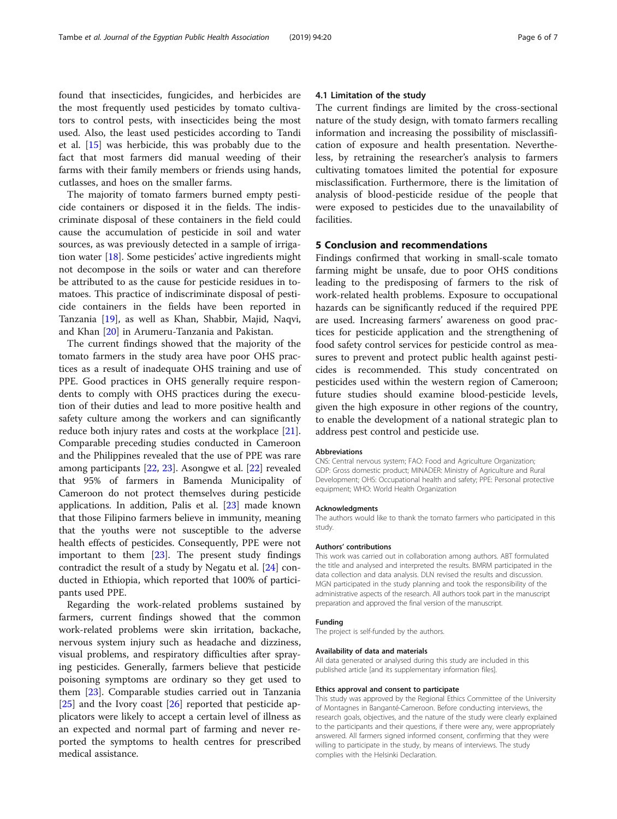found that insecticides, fungicides, and herbicides are the most frequently used pesticides by tomato cultivators to control pests, with insecticides being the most used. Also, the least used pesticides according to Tandi et al. [\[15](#page-6-0)] was herbicide, this was probably due to the fact that most farmers did manual weeding of their farms with their family members or friends using hands, cutlasses, and hoes on the smaller farms.

The majority of tomato farmers burned empty pesticide containers or disposed it in the fields. The indiscriminate disposal of these containers in the field could cause the accumulation of pesticide in soil and water sources, as was previously detected in a sample of irrigation water [\[18](#page-6-0)]. Some pesticides' active ingredients might not decompose in the soils or water and can therefore be attributed to as the cause for pesticide residues in tomatoes. This practice of indiscriminate disposal of pesticide containers in the fields have been reported in Tanzania [\[19\]](#page-6-0), as well as Khan, Shabbir, Majid, Naqvi, and Khan [\[20](#page-6-0)] in Arumeru-Tanzania and Pakistan.

The current findings showed that the majority of the tomato farmers in the study area have poor OHS practices as a result of inadequate OHS training and use of PPE. Good practices in OHS generally require respondents to comply with OHS practices during the execution of their duties and lead to more positive health and safety culture among the workers and can significantly reduce both injury rates and costs at the workplace [\[21](#page-6-0)]. Comparable preceding studies conducted in Cameroon and the Philippines revealed that the use of PPE was rare among participants [[22,](#page-6-0) [23\]](#page-6-0). Asongwe et al. [[22\]](#page-6-0) revealed that 95% of farmers in Bamenda Municipality of Cameroon do not protect themselves during pesticide applications. In addition, Palis et al. [\[23](#page-6-0)] made known that those Filipino farmers believe in immunity, meaning that the youths were not susceptible to the adverse health effects of pesticides. Consequently, PPE were not important to them [\[23](#page-6-0)]. The present study findings contradict the result of a study by Negatu et al. [\[24](#page-6-0)] conducted in Ethiopia, which reported that 100% of participants used PPE.

Regarding the work-related problems sustained by farmers, current findings showed that the common work-related problems were skin irritation, backache, nervous system injury such as headache and dizziness, visual problems, and respiratory difficulties after spraying pesticides. Generally, farmers believe that pesticide poisoning symptoms are ordinary so they get used to them [\[23](#page-6-0)]. Comparable studies carried out in Tanzania  $[25]$  $[25]$  and the Ivory coast  $[26]$  $[26]$  $[26]$  reported that pesticide applicators were likely to accept a certain level of illness as an expected and normal part of farming and never reported the symptoms to health centres for prescribed medical assistance.

#### 4.1 Limitation of the study

The current findings are limited by the cross-sectional nature of the study design, with tomato farmers recalling information and increasing the possibility of misclassification of exposure and health presentation. Nevertheless, by retraining the researcher's analysis to farmers cultivating tomatoes limited the potential for exposure misclassification. Furthermore, there is the limitation of analysis of blood-pesticide residue of the people that were exposed to pesticides due to the unavailability of facilities.

#### 5 Conclusion and recommendations

Findings confirmed that working in small-scale tomato farming might be unsafe, due to poor OHS conditions leading to the predisposing of farmers to the risk of work-related health problems. Exposure to occupational hazards can be significantly reduced if the required PPE are used. Increasing farmers' awareness on good practices for pesticide application and the strengthening of food safety control services for pesticide control as measures to prevent and protect public health against pesticides is recommended. This study concentrated on pesticides used within the western region of Cameroon; future studies should examine blood-pesticide levels, given the high exposure in other regions of the country, to enable the development of a national strategic plan to address pest control and pesticide use.

#### Abbreviations

CNS: Central nervous system; FAO: Food and Agriculture Organization; GDP: Gross domestic product; MINADER: Ministry of Agriculture and Rural Development; OHS: Occupational health and safety; PPE: Personal protective equipment; WHO: World Health Organization

#### Acknowledgments

The authors would like to thank the tomato farmers who participated in this study.

#### Authors' contributions

This work was carried out in collaboration among authors. ABT formulated the title and analysed and interpreted the results. BMRM participated in the data collection and data analysis. DLN revised the results and discussion. MGN participated in the study planning and took the responsibility of the administrative aspects of the research. All authors took part in the manuscript preparation and approved the final version of the manuscript.

#### Funding

The project is self-funded by the authors.

#### Availability of data and materials

All data generated or analysed during this study are included in this published article [and its supplementary information files].

#### Ethics approval and consent to participate

This study was approved by the Regional Ethics Committee of the University of Montagnes in Banganté-Cameroon. Before conducting interviews, the research goals, objectives, and the nature of the study were clearly explained to the participants and their questions, if there were any, were appropriately answered. All farmers signed informed consent, confirming that they were willing to participate in the study, by means of interviews. The study complies with the Helsinki Declaration.